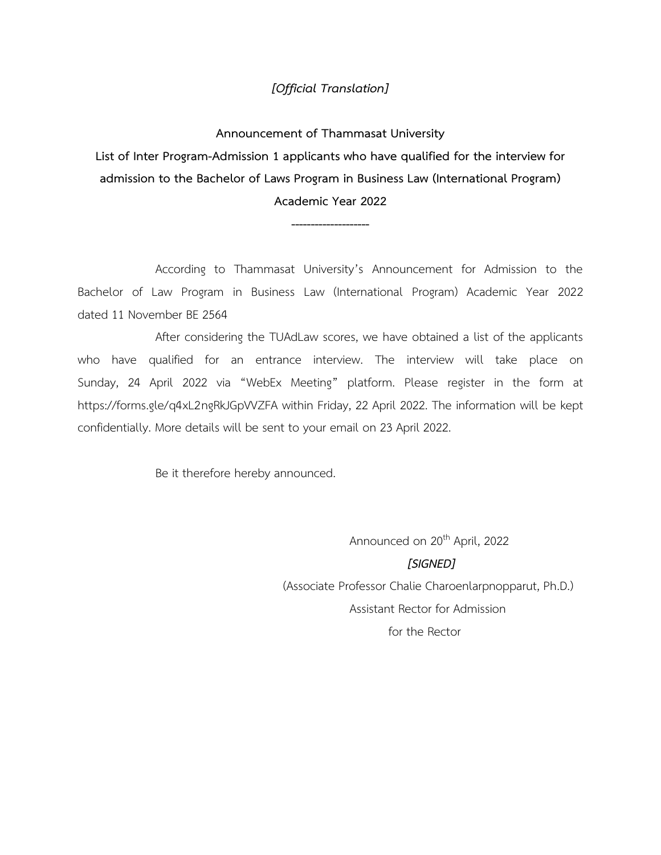### *[Official Translation]*

**Announcement of Thammasat University List of Inter Program-Admission 1 applicants who have qualified for the interview for admission to the Bachelor of Laws Program in Business Law (International Program) Academic Year 2022**

**--------------------**

According to Thammasat University's Announcement for Admission to the Bachelor of Law Program in Business Law (International Program) Academic Year 2022 dated 11 November BE 2564

After considering the TUAdLaw scores, we have obtained a list of the applicants who have qualified for an entrance interview. The interview will take place on Sunday, 24 April 2022 via "WebEx Meeting" platform. Please register in the form at https://forms.gle/q4xL2ngRkJGpVVZFA within Friday, 22 April 2022. The information will be kept confidentially. More details will be sent to your email on 23 April 2022.

Be it therefore hereby announced.

Announced on 20<sup>th</sup> April, 2022  *[SIGNED]* (Associate Professor Chalie Charoenlarpnopparut, Ph.D.) Assistant Rector for Admission for the Rector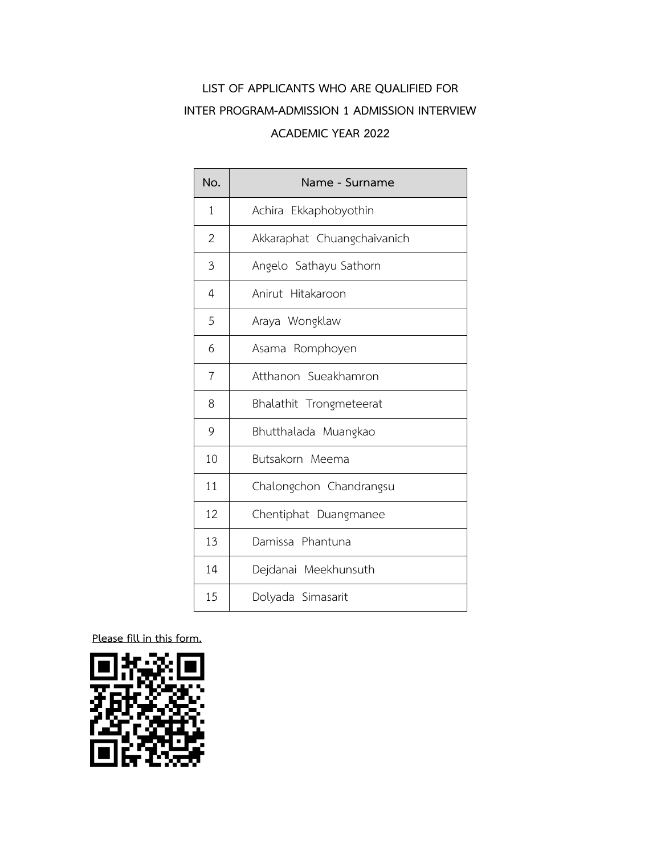| No.            | Name - Surname              |
|----------------|-----------------------------|
| $\mathbf{1}$   | Achira Ekkaphobyothin       |
| 2              | Akkaraphat Chuangchaivanich |
| 3              | Angelo Sathayu Sathorn      |
| 4              | Anirut Hitakaroon           |
| 5              | Araya Wongklaw              |
| 6              | Asama Romphoyen             |
| $\overline{7}$ | Atthanon Sueakhamron        |
| 8              | Bhalathit Trongmeteerat     |
| 9              | Bhutthalada Muangkao        |
| 10             | Butsakorn Meema             |
| 11             | Chalongchon Chandrangsu     |
| 12             | Chentiphat Duangmanee       |
| 13             | Damissa Phantuna            |
| 14             | Dejdanai Meekhunsuth        |
| 15             | Dolyada Simasarit           |

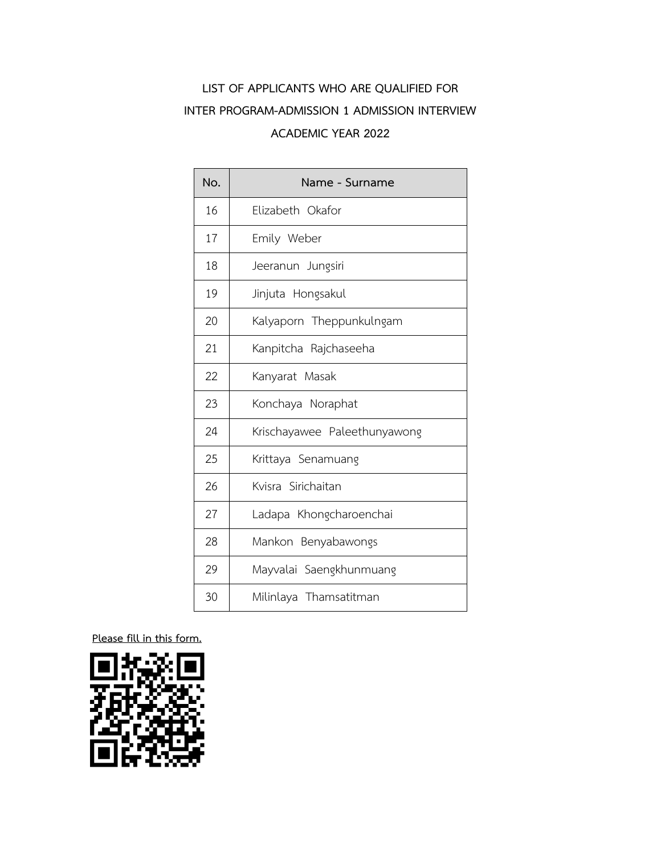| No. | Name - Surname               |
|-----|------------------------------|
| 16  | Elizabeth Okafor             |
| 17  | Emily Weber                  |
| 18  | Jeeranun Jungsiri            |
| 19  | Jinjuta Hongsakul            |
| 20  | Kalyaporn Theppunkulngam     |
| 21  | Kanpitcha Rajchaseeha        |
| 22  | Kanyarat Masak               |
| 23  | Konchaya Noraphat            |
| 24  | Krischayawee Paleethunyawong |
| 25  | Krittaya Senamuang           |
| 26  | Kvisra Sirichaitan           |
| 27  | Ladapa Khongcharoenchai      |
| 28  | Mankon Benyabawongs          |
| 29  | Mayvalai Saengkhunmuang      |
| 30  | Milinlaya Thamsatitman       |

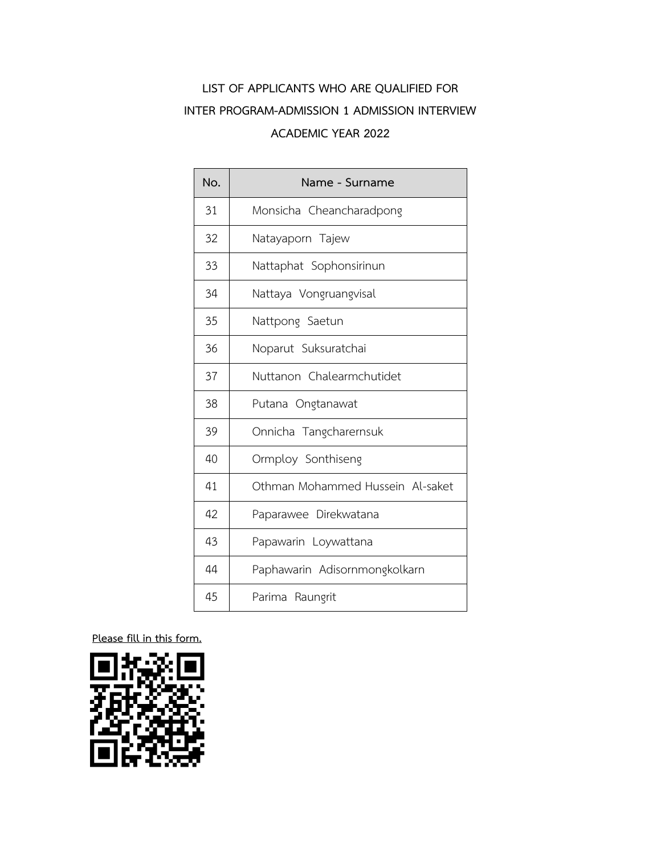| No. | Name - Surname                   |
|-----|----------------------------------|
| 31  | Monsicha Cheancharadpong         |
| 32  | Natayaporn Tajew                 |
| 33  | Nattaphat Sophonsirinun          |
| 34  | Nattaya Vongruangvisal           |
| 35  | Nattpong Saetun                  |
| 36  | Noparut Suksuratchai             |
| 37  | Nuttanon Chalearmchutidet        |
| 38  | Putana Ongtanawat                |
| 39  | Onnicha Tangcharernsuk           |
| 40  | Ormploy Sonthiseng               |
| 41  | Othman Mohammed Hussein Al-saket |
| 42  | Paparawee Direkwatana            |
| 43  | Papawarin Loywattana             |
| 44  | Paphawarin Adisornmongkolkarn    |
| 45  | Parima Raungrit                  |

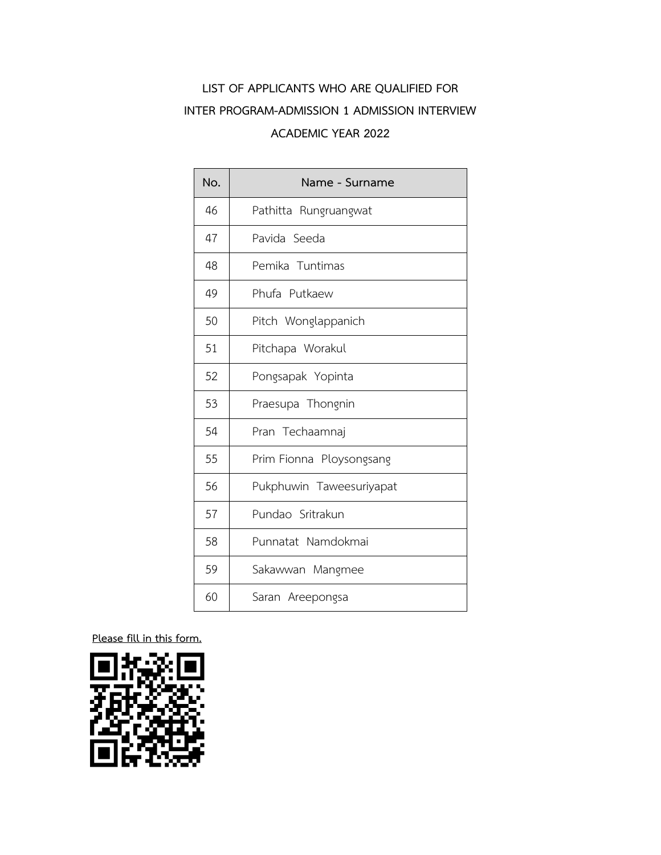| No. | Name - Surname           |
|-----|--------------------------|
| 46  | Pathitta Rungruangwat    |
| 47  | Pavida Seeda             |
| 48  | Pemika Tuntimas          |
| 49  | Phufa Putkaew            |
| 50  | Pitch Wonglappanich      |
| 51  | Pitchapa Worakul         |
| 52  | Pongsapak Yopinta        |
| 53  | Praesupa Thongnin        |
| 54  | Pran Techaamnaj          |
| 55  | Prim Fionna Ploysongsang |
| 56  | Pukphuwin Taweesuriyapat |
| 57  | Pundao Sritrakun         |
| 58  | Punnatat Namdokmai       |
| 59  | Sakawwan Mangmee         |
| 60  | Saran Areepongsa         |

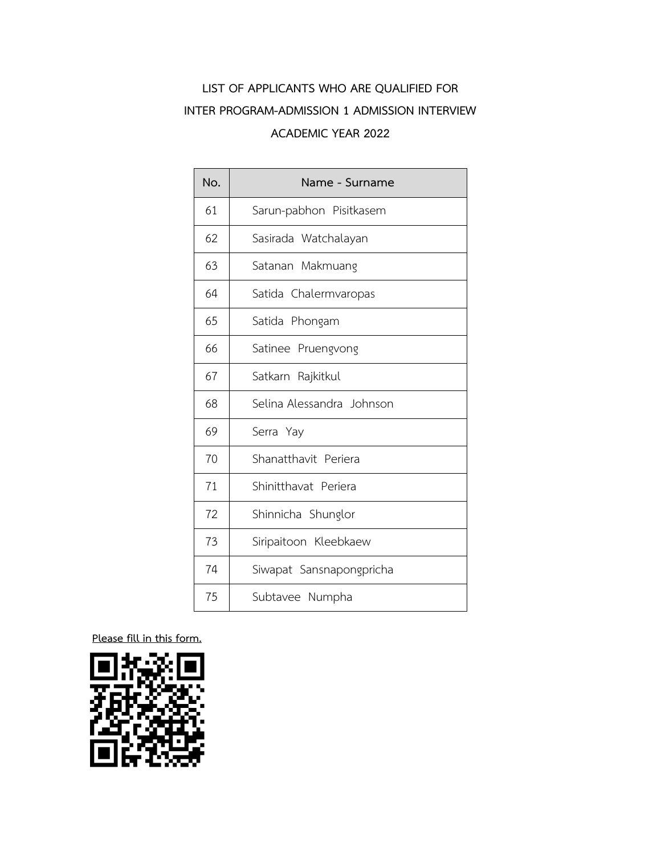| No. | Name - Surname            |
|-----|---------------------------|
| 61  | Sarun-pabhon Pisitkasem   |
| 62  | Sasirada Watchalayan      |
| 63  | Satanan Makmuang          |
| 64  | Satida Chalermvaropas     |
| 65  | Satida Phongam            |
| 66  | Satinee Pruengvong        |
| 67  | Satkarn Rajkitkul         |
| 68  | Selina Alessandra Johnson |
| 69  | Serra Yay                 |
| 70  | Shanatthavit Periera      |
| 71  | Shinitthavat Periera      |
| 72  | Shinnicha Shunglor        |
| 73  | Siripaitoon Kleebkaew     |
| 74  | Siwapat Sansnapongpricha  |
| 75  | Subtavee Numpha           |

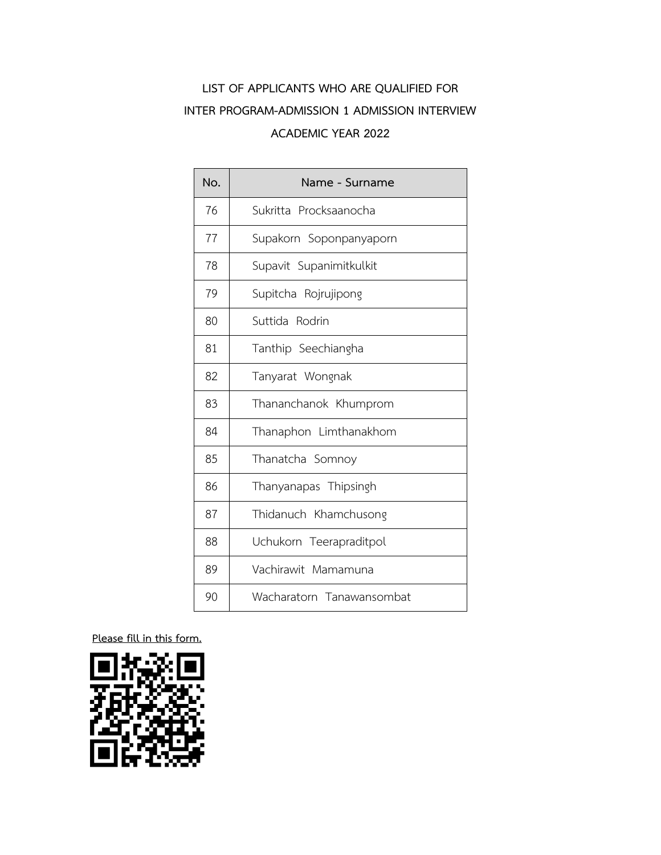| No. | Name - Surname            |
|-----|---------------------------|
| 76  | Sukritta Procksaanocha    |
| 77  | Supakorn Soponpanyaporn   |
| 78  | Supavit Supanimitkulkit   |
| 79  | Supitcha Rojrujipong      |
| 80  | Suttida Rodrin            |
| 81  | Tanthip Seechiangha       |
| 82  | Tanyarat Wongnak          |
| 83  | Thananchanok Khumprom     |
| 84  | Thanaphon Limthanakhom    |
| 85  | Thanatcha Somnoy          |
| 86  | Thanyanapas Thipsingh     |
| 87  | Thidanuch Khamchusong     |
| 88  | Uchukorn Teerapraditpol   |
| 89  | Vachirawit Mamamuna       |
| 90  | Wacharatorn Tanawansombat |